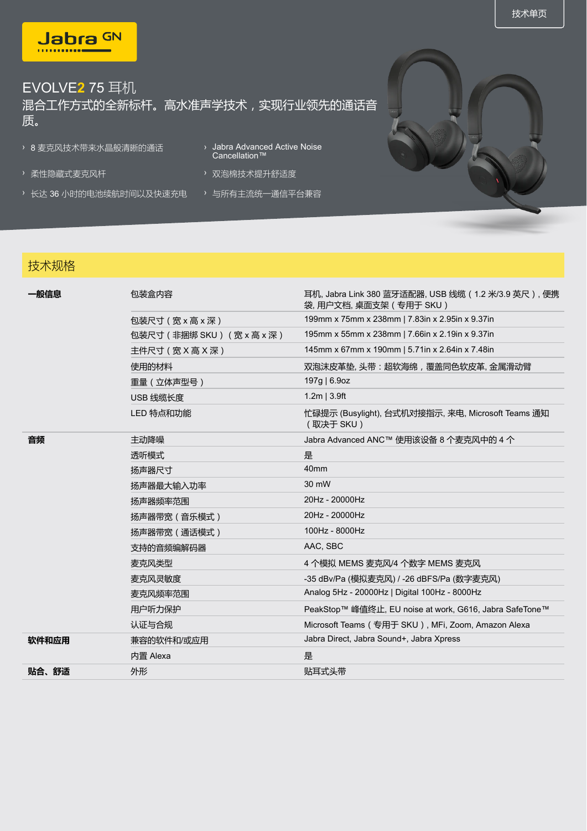

## EVOLVE**2** 75 耳机 混合工作方式的全新标杆。高水准声学技术,实现行业领先的通话音 质。

- › 8 麦克风技术带来水晶般清晰的通话
- 
- › 长达 36 小时的电池续航时间以及快速充电 › 与所有主流统一通信平台兼容
- Cancellation™
- › 柔性隐藏式麦克风杆 > 双泡棉技术提升舒适度
	-

## 技术规格

| 一般信息  | 包装盒内容                      | 耳机, Jabra Link 380 蓝牙适配器, USB 线缆 (1.2 米/3.9 英尺), 便携<br>袋, 用户文档, 桌面支架 ( 专用于 SKU ) |
|-------|----------------------------|----------------------------------------------------------------------------------|
|       | 包装尺寸(宽 x 高 x 深 )           | 199mm x 75mm x 238mm   7.83in x 2.95in x 9.37in                                  |
|       | 包装尺寸 (非捆绑 SKU) (宽 x 高 x 深) | 195mm x 55mm x 238mm   7.66in x 2.19in x 9.37in                                  |
|       | 主件尺寸 (宽 X 高 X 深 )          | 145mm x 67mm x 190mm   5.71in x 2.64in x 7.48in                                  |
|       | 使用的材料                      | 双泡沫皮革垫, 头带: 超软海绵, 覆盖同色软皮革, 金属滑动臂                                                 |
|       | 重量(立体声型号)                  | 197g   6.9oz                                                                     |
|       | USB 线缆长度                   | $1.2m$   3.9ft                                                                   |
|       | LED 特点和功能                  | 忙碌提示 (Busylight), 台式机对接指示, 来电, Microsoft Teams 通知<br>(取决于 SKU)                   |
| 音频    | 主动降噪                       | Jabra Advanced ANC™ 使用该设备 8 个麦克风中的 4 个                                           |
|       | 透听模式                       | 是                                                                                |
|       | 扬声器尺寸                      | 40 <sub>mm</sub>                                                                 |
|       | 扬声器最大输入功率                  | 30 mW                                                                            |
|       | 扬声器频率范围                    | 20Hz - 20000Hz                                                                   |
|       | 扬声器带宽 (音乐模式)               | 20Hz - 20000Hz                                                                   |
|       | 扬声器带宽(通话模式)                | 100Hz - 8000Hz                                                                   |
|       | 支持的音频编解码器                  | AAC, SBC                                                                         |
|       | 麦克风类型                      | 4 个模拟 MEMS 麦克风/4 个数字 MEMS 麦克风                                                    |
|       | 麦克风灵敏度                     | -35 dBv/Pa (模拟麦克风) / -26 dBFS/Pa (数字麦克风)                                         |
|       | 麦克风频率范围                    | Analog 5Hz - 20000Hz   Digital 100Hz - 8000Hz                                    |
|       | 用户听力保护                     | PeakStop™ 峰值终止, EU noise at work, G616, Jabra SafeTone™                          |
|       | 认证与合规                      | Microsoft Teams ( 专用于 SKU ), MFi, Zoom, Amazon Alexa                             |
| 软件和应用 | 兼容的软件和/或应用                 | Jabra Direct, Jabra Sound+, Jabra Xpress                                         |
|       | 内置 Alexa                   | 是                                                                                |
| 贴合、舒适 | 外形                         | 贴耳式头带                                                                            |
|       |                            |                                                                                  |